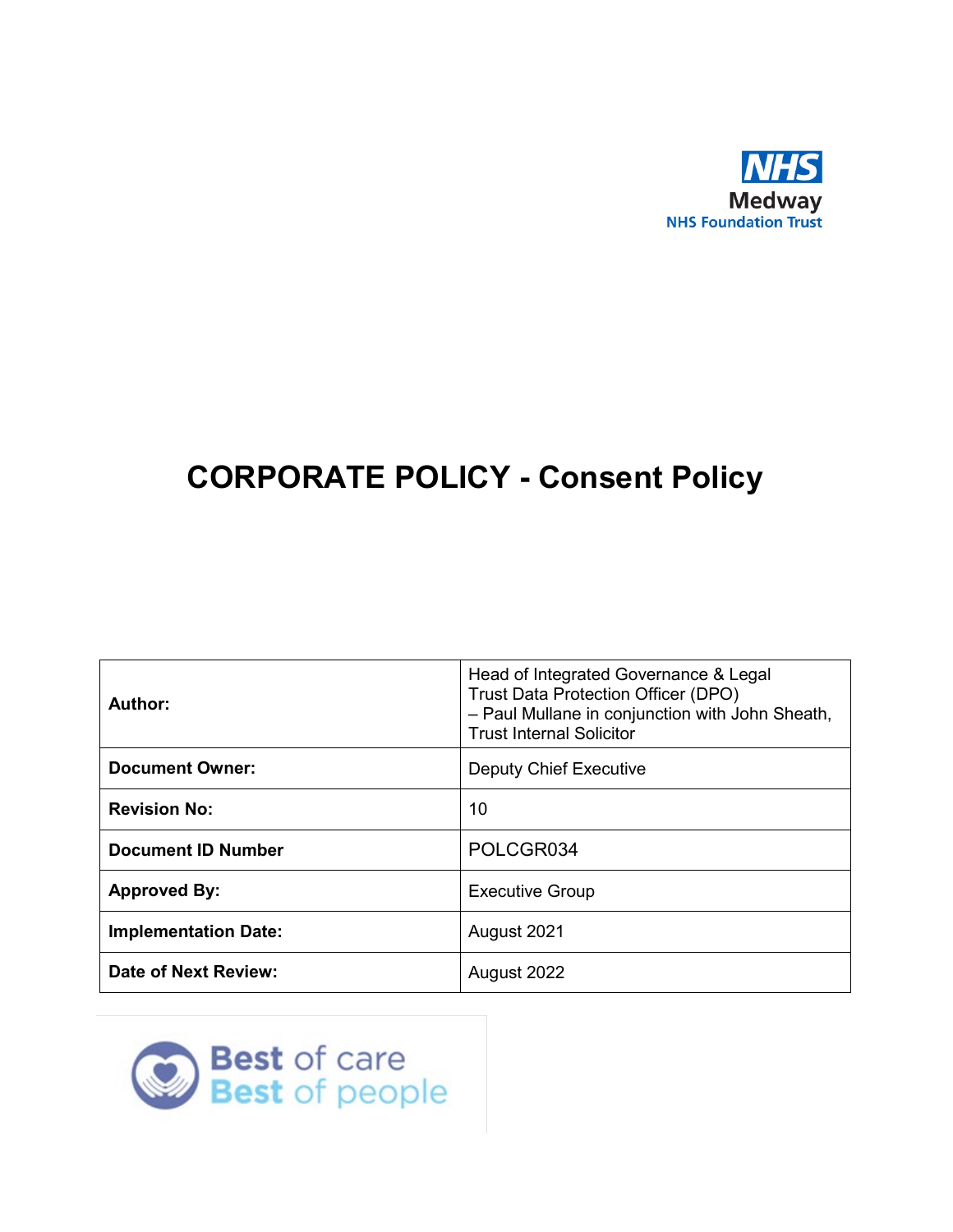

# **CORPORATE POLICY - Consent Policy**

| Author:                     | Head of Integrated Governance & Legal<br><b>Trust Data Protection Officer (DPO)</b><br>- Paul Mullane in conjunction with John Sheath,<br><b>Trust Internal Solicitor</b> |
|-----------------------------|---------------------------------------------------------------------------------------------------------------------------------------------------------------------------|
| <b>Document Owner:</b>      | <b>Deputy Chief Executive</b>                                                                                                                                             |
| <b>Revision No:</b>         | 10                                                                                                                                                                        |
| <b>Document ID Number</b>   | POLCGR034                                                                                                                                                                 |
| <b>Approved By:</b>         | <b>Executive Group</b>                                                                                                                                                    |
| <b>Implementation Date:</b> | August 2021                                                                                                                                                               |
| <b>Date of Next Review:</b> | August 2022                                                                                                                                                               |

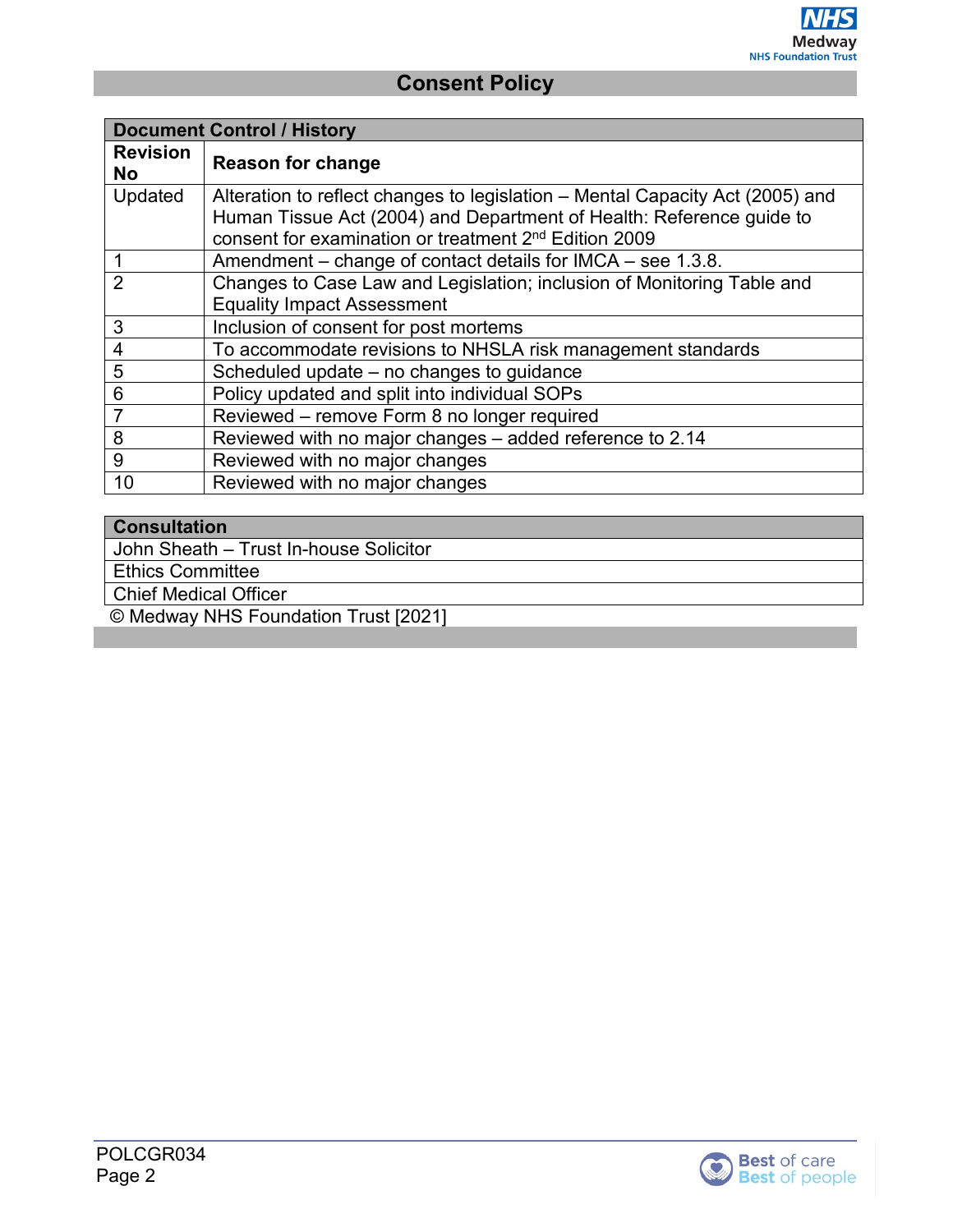| <b>Document Control / History</b> |                                                                                                                                                                                                                            |  |  |
|-----------------------------------|----------------------------------------------------------------------------------------------------------------------------------------------------------------------------------------------------------------------------|--|--|
| <b>Revision</b><br><b>No</b>      | <b>Reason for change</b>                                                                                                                                                                                                   |  |  |
| Updated                           | Alteration to reflect changes to legislation – Mental Capacity Act (2005) and<br>Human Tissue Act (2004) and Department of Health: Reference guide to<br>consent for examination or treatment 2 <sup>nd</sup> Edition 2009 |  |  |
|                                   | Amendment – change of contact details for IMCA – see 1.3.8.                                                                                                                                                                |  |  |
| $\overline{2}$                    | Changes to Case Law and Legislation; inclusion of Monitoring Table and                                                                                                                                                     |  |  |
|                                   | <b>Equality Impact Assessment</b>                                                                                                                                                                                          |  |  |
| 3                                 | Inclusion of consent for post mortems                                                                                                                                                                                      |  |  |
| $\overline{4}$                    | To accommodate revisions to NHSLA risk management standards                                                                                                                                                                |  |  |
| 5                                 | Scheduled update – no changes to guidance                                                                                                                                                                                  |  |  |
| $6\phantom{1}6$                   | Policy updated and split into individual SOPs                                                                                                                                                                              |  |  |
| $\overline{7}$                    | Reviewed - remove Form 8 no longer required                                                                                                                                                                                |  |  |
| 8                                 | Reviewed with no major changes - added reference to 2.14                                                                                                                                                                   |  |  |
| 9                                 | Reviewed with no major changes                                                                                                                                                                                             |  |  |
| 10                                | Reviewed with no major changes                                                                                                                                                                                             |  |  |

#### **Consultation**

John Sheath – Trust In-house Solicitor

Ethics Committee

Chief Medical Officer

© Medway NHS Foundation Trust [2021]

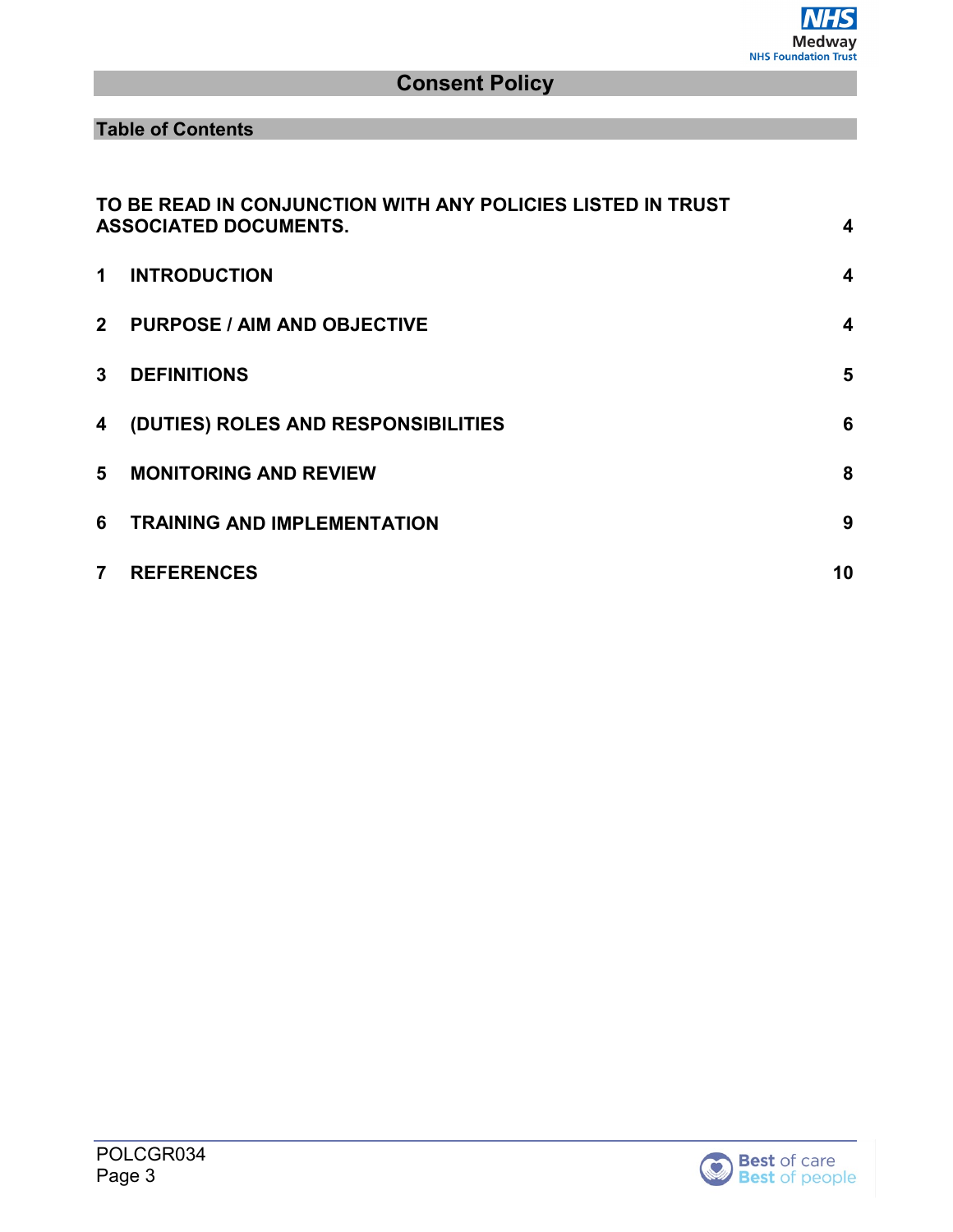**Table of Contents**

|                | TO BE READ IN CONJUNCTION WITH ANY POLICIES LISTED IN TRUST<br><b>ASSOCIATED DOCUMENTS.</b> | $\overline{\mathbf{4}}$ |
|----------------|---------------------------------------------------------------------------------------------|-------------------------|
| 1              | <b>INTRODUCTION</b>                                                                         | $\boldsymbol{4}$        |
| 2 <sup>7</sup> | <b>PURPOSE / AIM AND OBJECTIVE</b>                                                          | $\boldsymbol{4}$        |
| $\mathbf{3}$   | <b>DEFINITIONS</b>                                                                          | 5                       |
| 4              | (DUTIES) ROLES AND RESPONSIBILITIES                                                         | 6                       |
| 5              | <b>MONITORING AND REVIEW</b>                                                                | 8                       |
| 6              | <b>TRAINING AND IMPLEMENTATION</b>                                                          | 9                       |
| $\overline{7}$ | <b>REFERENCES</b>                                                                           | 10                      |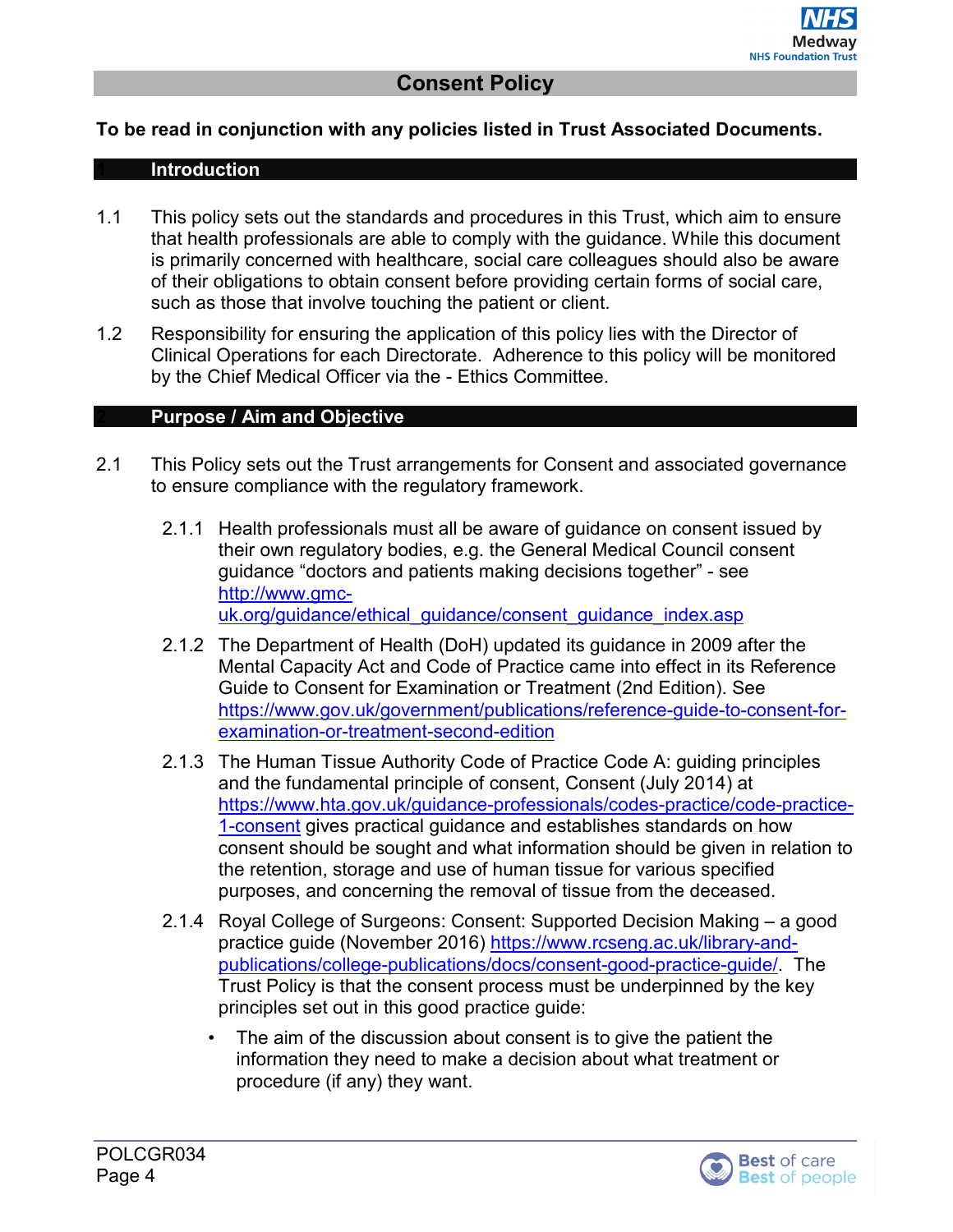#### <span id="page-3-1"></span><span id="page-3-0"></span>**To be read in conjunction with any policies listed in Trust Associated Documents.**

#### **1 Introduction**

- 1.1 This policy sets out the standards and procedures in this Trust, which aim to ensure that health professionals are able to comply with the guidance. While this document is primarily concerned with healthcare, social care colleagues should also be aware of their obligations to obtain consent before providing certain forms of social care, such as those that involve touching the patient or client.
- 1.2 Responsibility for ensuring the application of this policy lies with the Director of Clinical Operations for each Directorate. Adherence to this policy will be monitored by the Chief Medical Officer via the - Ethics Committee.

#### <span id="page-3-2"></span>**2 Purpose / Aim and Objective**

- 2.1 This Policy sets out the Trust arrangements for Consent and associated governance to ensure compliance with the regulatory framework.
	- 2.1.1 Health professionals must all be aware of guidance on consent issued by their own regulatory bodies, e.g. the General Medical Council consent guidance "doctors and patients making decisions together" - see [http://www.gmc](http://www.gmc-uk.org/guidance/ethical_guidance/consent_guidance_index.asp)[uk.org/guidance/ethical\\_guidance/consent\\_guidance\\_index.asp](http://www.gmc-uk.org/guidance/ethical_guidance/consent_guidance_index.asp)
	- 2.1.2 The Department of Health (DoH) updated its guidance in 2009 after the Mental Capacity Act and Code of Practice came into effect in its Reference Guide to Consent for Examination or Treatment (2nd Edition). See [https://www.gov.uk/government/publications/reference-guide-to-consent-for](https://www.gov.uk/government/publications/reference-guide-to-consent-for-examination-or-treatment-second-edition)[examination-or-treatment-second-edition](https://www.gov.uk/government/publications/reference-guide-to-consent-for-examination-or-treatment-second-edition)
	- 2.1.3 The Human Tissue Authority Code of Practice Code A: guiding principles and the fundamental principle of consent, Consent (July 2014) at [https://www.hta.gov.uk/guidance-professionals/codes-practice/code-practice-](https://www.hta.gov.uk/guidance-professionals/codes-practice/code-practice-1-consent)[1-consent](https://www.hta.gov.uk/guidance-professionals/codes-practice/code-practice-1-consent) gives practical guidance and establishes standards on how consent should be sought and what information should be given in relation to the retention, storage and use of human tissue for various specified purposes, and concerning the removal of tissue from the deceased.
	- 2.1.4 Royal College of Surgeons: Consent: Supported Decision Making a good practice guide (November 2016) [https://www.rcseng.ac.uk/library-and](https://www.rcseng.ac.uk/library-and-publications/college-publications/docs/consent-good-practice-guide/)[publications/college-publications/docs/consent-good-practice-guide/.](https://www.rcseng.ac.uk/library-and-publications/college-publications/docs/consent-good-practice-guide/) The Trust Policy is that the consent process must be underpinned by the key principles set out in this good practice guide:
		- The aim of the discussion about consent is to give the patient the information they need to make a decision about what treatment or procedure (if any) they want.

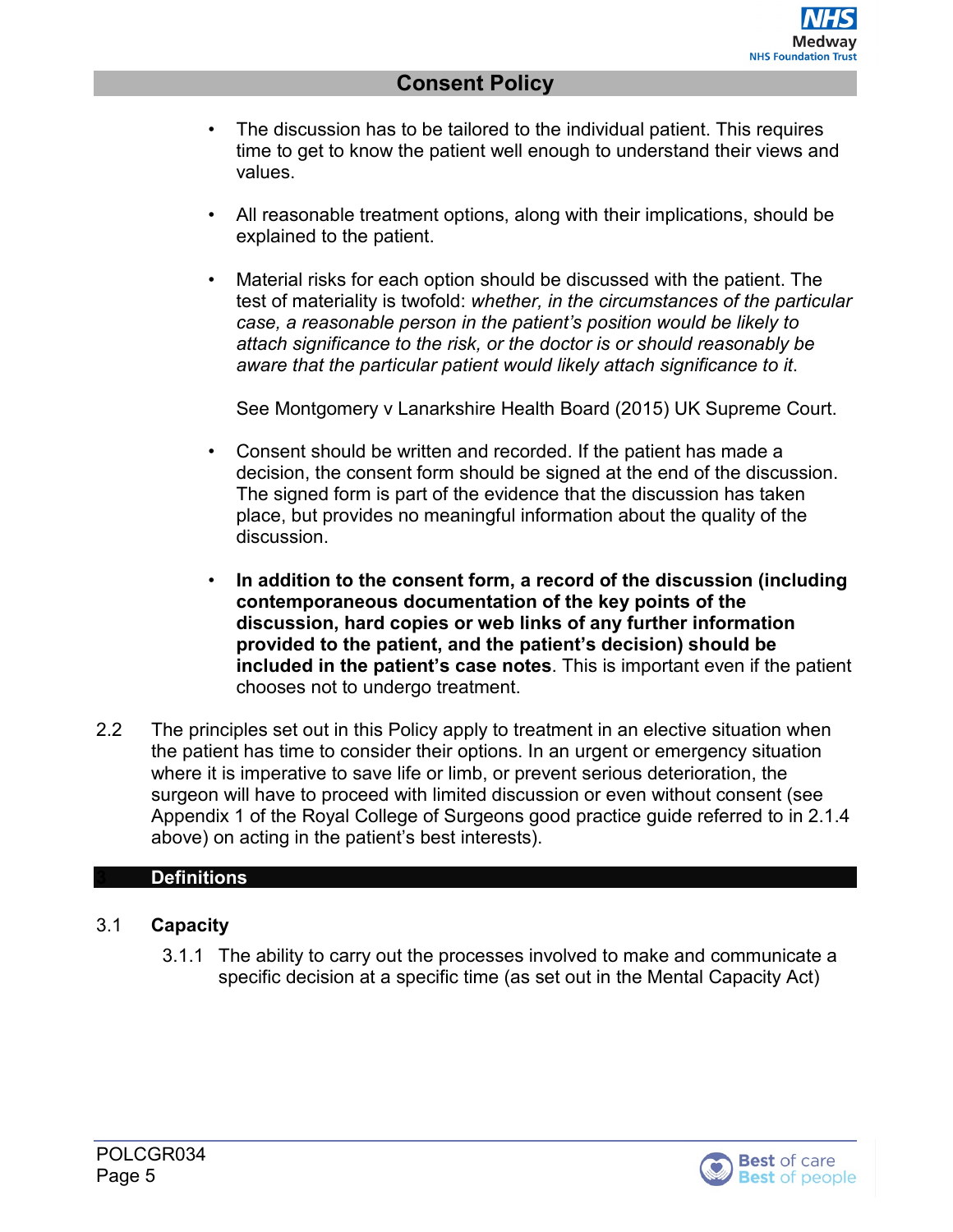- The discussion has to be tailored to the individual patient. This requires time to get to know the patient well enough to understand their views and values.
- All reasonable treatment options, along with their implications, should be explained to the patient.
- Material risks for each option should be discussed with the patient. The test of materiality is twofold: *whether, in the circumstances of the particular case, a reasonable person in the patient's position would be likely to attach significance to the risk, or the doctor is or should reasonably be aware that the particular patient would likely attach significance to it*.

See Montgomery v Lanarkshire Health Board (2015) UK Supreme Court.

- Consent should be written and recorded. If the patient has made a decision, the consent form should be signed at the end of the discussion. The signed form is part of the evidence that the discussion has taken place, but provides no meaningful information about the quality of the discussion.
- **In addition to the consent form, a record of the discussion (including contemporaneous documentation of the key points of the discussion, hard copies or web links of any further information provided to the patient, and the patient's decision) should be included in the patient's case notes**. This is important even if the patient chooses not to undergo treatment.
- 2.2 The principles set out in this Policy apply to treatment in an elective situation when the patient has time to consider their options. In an urgent or emergency situation where it is imperative to save life or limb, or prevent serious deterioration, the surgeon will have to proceed with limited discussion or even without consent (see Appendix 1 of the Royal College of Surgeons good practice guide referred to in 2.1.4 above) on acting in the patient's best interests).

#### <span id="page-4-0"></span>**3 Definitions**

#### 3.1 **Capacity**

3.1.1 The ability to carry out the processes involved to make and communicate a specific decision at a specific time (as set out in the Mental Capacity Act)

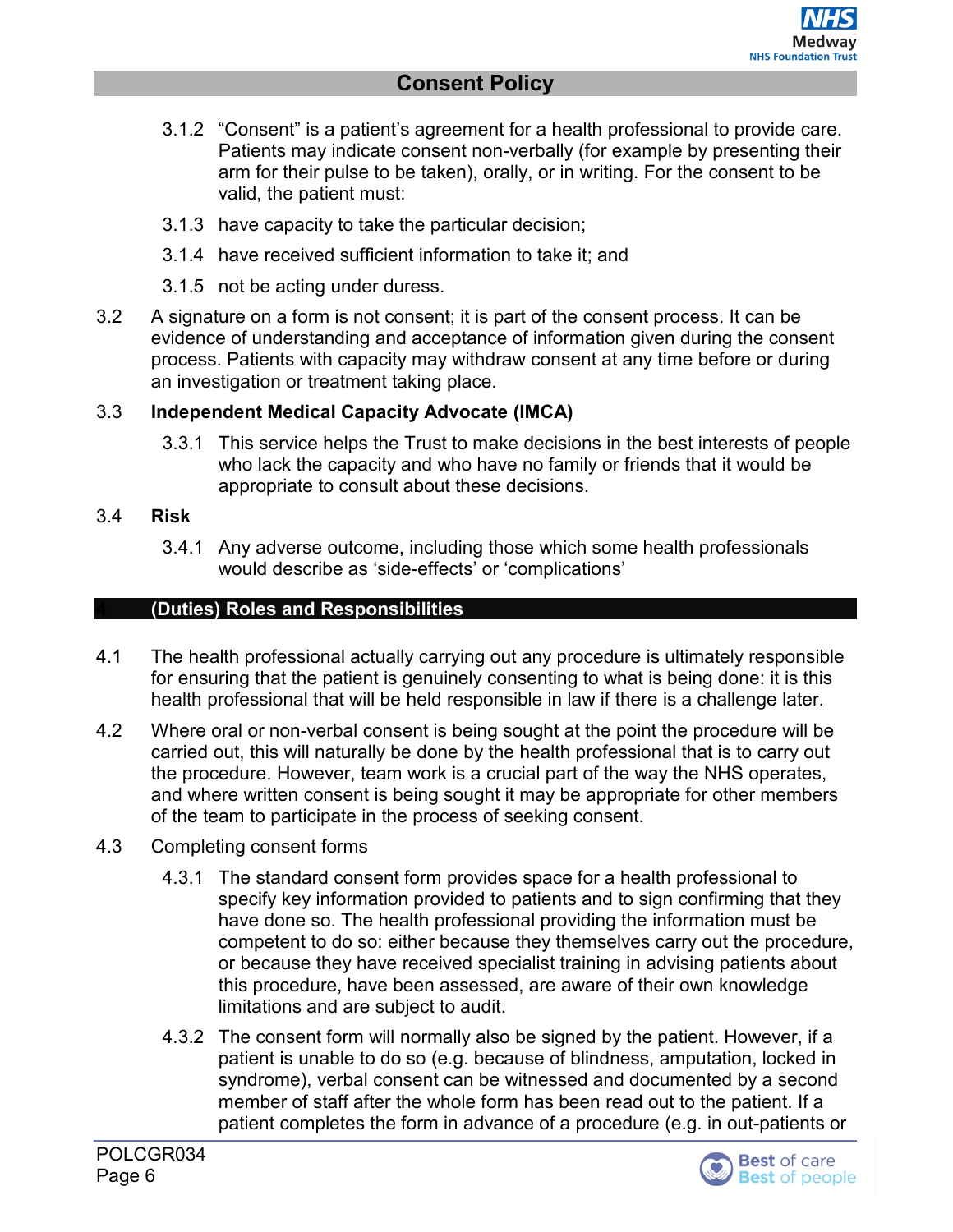- 3.1.2 "Consent" is a patient's agreement for a health professional to provide care. Patients may indicate consent non-verbally (for example by presenting their arm for their pulse to be taken), orally, or in writing. For the consent to be valid, the patient must:
- 3.1.3 have capacity to take the particular decision;
- 3.1.4 have received sufficient information to take it; and
- 3.1.5 not be acting under duress.
- 3.2 A signature on a form is not consent; it is part of the consent process. It can be evidence of understanding and acceptance of information given during the consent process. Patients with capacity may withdraw consent at any time before or during an investigation or treatment taking place.

#### 3.3 **Independent Medical Capacity Advocate (IMCA)**

3.3.1 This service helps the Trust to make decisions in the best interests of people who lack the capacity and who have no family or friends that it would be appropriate to consult about these decisions.

#### 3.4 **Risk**

3.4.1 Any adverse outcome, including those which some health professionals would describe as 'side-effects' or 'complications'

#### <span id="page-5-0"></span>**4 (Duties) Roles and Responsibilities**

- 4.1 The health professional actually carrying out any procedure is ultimately responsible for ensuring that the patient is genuinely consenting to what is being done: it is this health professional that will be held responsible in law if there is a challenge later.
- 4.2 Where oral or non-verbal consent is being sought at the point the procedure will be carried out, this will naturally be done by the health professional that is to carry out the procedure. However, team work is a crucial part of the way the NHS operates, and where written consent is being sought it may be appropriate for other members of the team to participate in the process of seeking consent.
- 4.3 Completing consent forms
	- 4.3.1 The standard consent form provides space for a health professional to specify key information provided to patients and to sign confirming that they have done so. The health professional providing the information must be competent to do so: either because they themselves carry out the procedure, or because they have received specialist training in advising patients about this procedure, have been assessed, are aware of their own knowledge limitations and are subject to audit.
	- 4.3.2 The consent form will normally also be signed by the patient. However, if a patient is unable to do so (e.g. because of blindness, amputation, locked in syndrome), verbal consent can be witnessed and documented by a second member of staff after the whole form has been read out to the patient. If a patient completes the form in advance of a procedure (e.g. in out-patients or

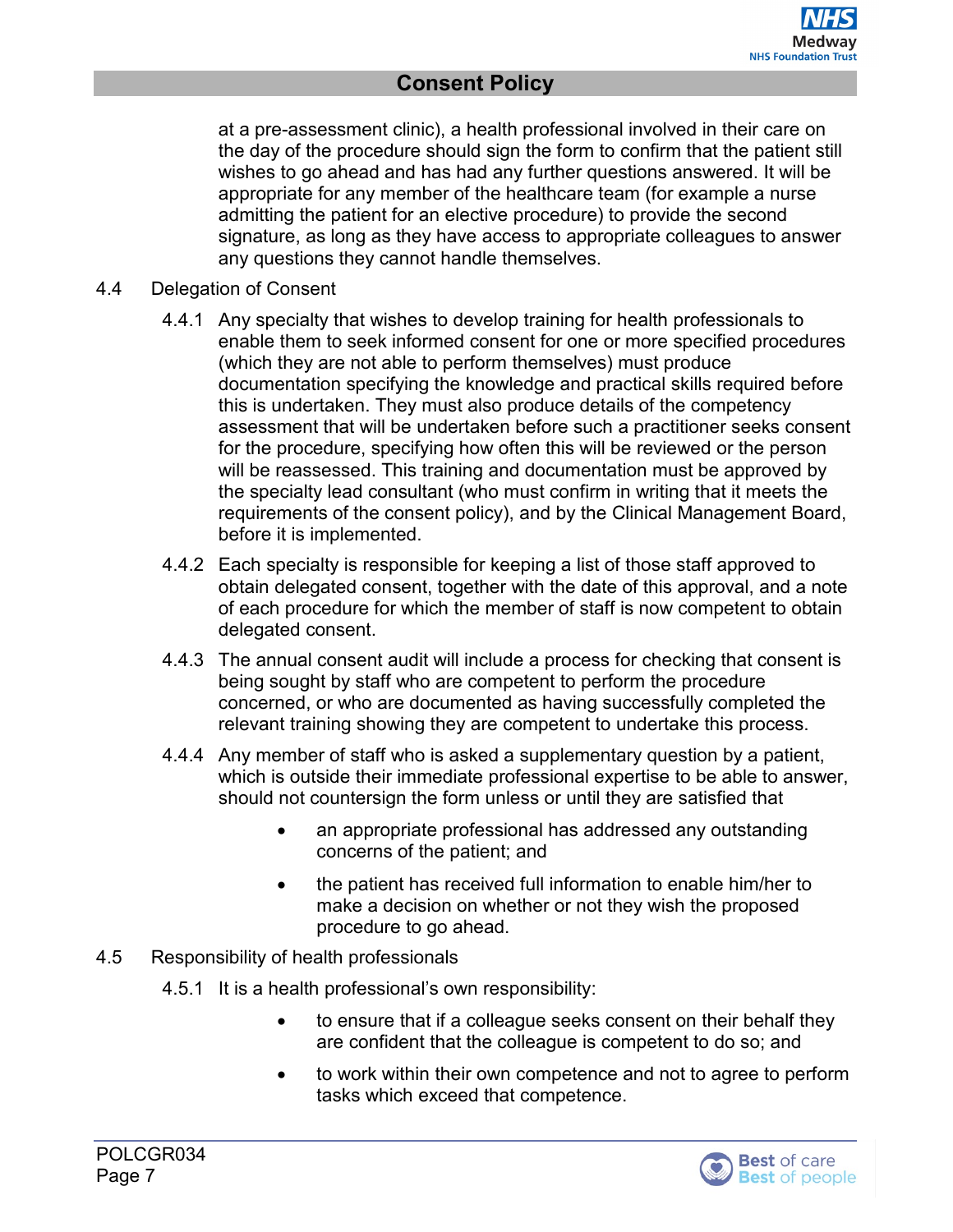at a pre-assessment clinic), a health professional involved in their care on the day of the procedure should sign the form to confirm that the patient still wishes to go ahead and has had any further questions answered. It will be appropriate for any member of the healthcare team (for example a nurse admitting the patient for an elective procedure) to provide the second signature, as long as they have access to appropriate colleagues to answer any questions they cannot handle themselves.

- 4.4 Delegation of Consent
	- 4.4.1 Any specialty that wishes to develop training for health professionals to enable them to seek informed consent for one or more specified procedures (which they are not able to perform themselves) must produce documentation specifying the knowledge and practical skills required before this is undertaken. They must also produce details of the competency assessment that will be undertaken before such a practitioner seeks consent for the procedure, specifying how often this will be reviewed or the person will be reassessed. This training and documentation must be approved by the specialty lead consultant (who must confirm in writing that it meets the requirements of the consent policy), and by the Clinical Management Board, before it is implemented.
	- 4.4.2 Each specialty is responsible for keeping a list of those staff approved to obtain delegated consent, together with the date of this approval, and a note of each procedure for which the member of staff is now competent to obtain delegated consent.
	- 4.4.3 The annual consent audit will include a process for checking that consent is being sought by staff who are competent to perform the procedure concerned, or who are documented as having successfully completed the relevant training showing they are competent to undertake this process.
	- 4.4.4 Any member of staff who is asked a supplementary question by a patient, which is outside their immediate professional expertise to be able to answer, should not countersign the form unless or until they are satisfied that
		- an appropriate professional has addressed any outstanding concerns of the patient; and
		- the patient has received full information to enable him/her to make a decision on whether or not they wish the proposed procedure to go ahead.
- 4.5 Responsibility of health professionals
	- 4.5.1 It is a health professional's own responsibility:
		- to ensure that if a colleague seeks consent on their behalf they are confident that the colleague is competent to do so; and
		- to work within their own competence and not to agree to perform tasks which exceed that competence.

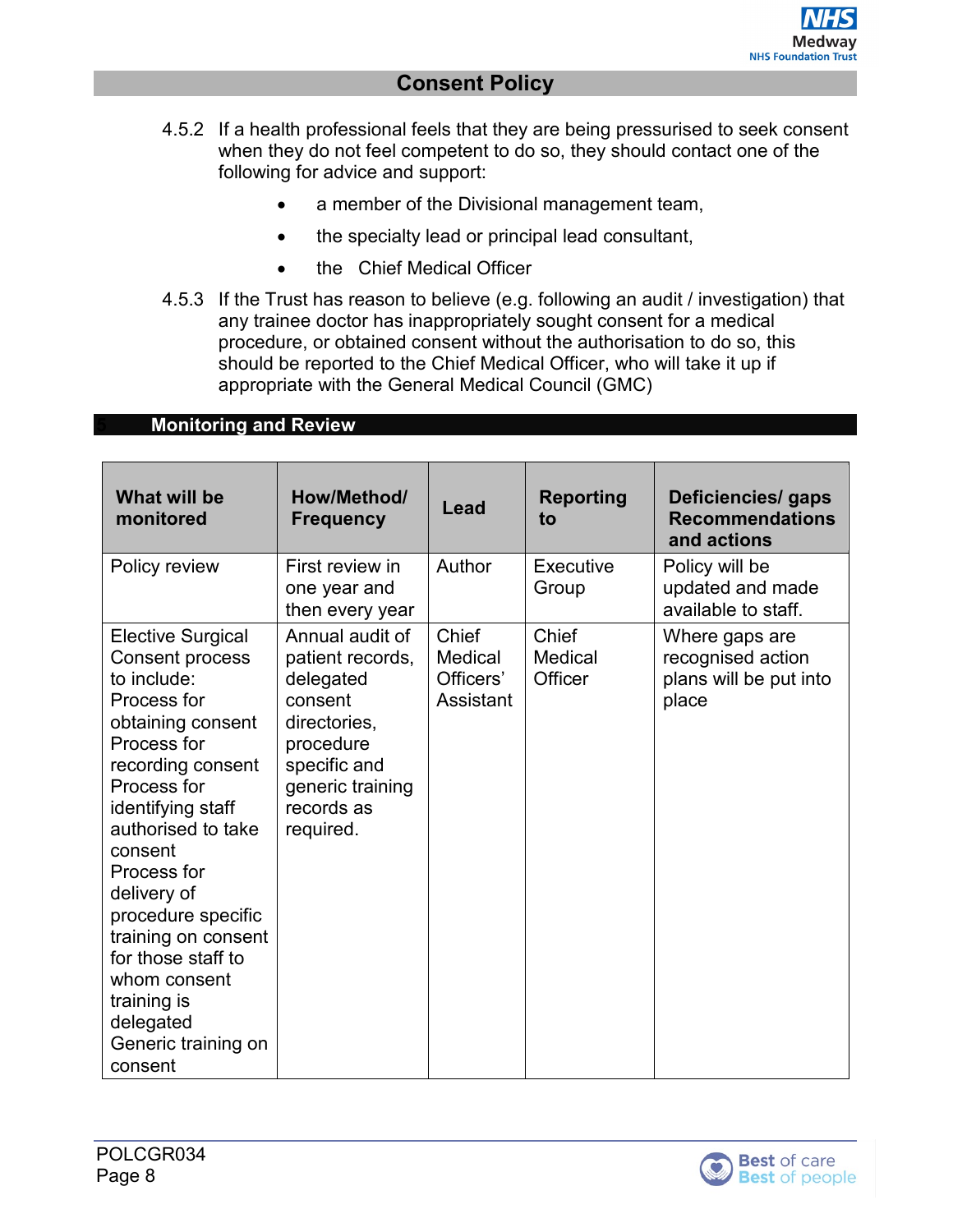- 4.5.2 If a health professional feels that they are being pressurised to seek consent when they do not feel competent to do so, they should contact one of the following for advice and support:
	- a member of the Divisional management team,
	- the specialty lead or principal lead consultant,
	- the Chief Medical Officer
- 4.5.3 If the Trust has reason to believe (e.g. following an audit / investigation) that any trainee doctor has inappropriately sought consent for a medical procedure, or obtained consent without the authorisation to do so, this should be reported to the Chief Medical Officer, who will take it up if appropriate with the General Medical Council (GMC)

#### <span id="page-7-0"></span>**5 Monitoring and Review**

| What will be<br>monitored                                                                                                                                                                                                                                                                                                                                                                     | How/Method/<br><b>Frequency</b>                                                                                                                         | Lead                                       | <b>Reporting</b><br>to      | Deficiencies/ gaps<br><b>Recommendations</b><br>and actions            |
|-----------------------------------------------------------------------------------------------------------------------------------------------------------------------------------------------------------------------------------------------------------------------------------------------------------------------------------------------------------------------------------------------|---------------------------------------------------------------------------------------------------------------------------------------------------------|--------------------------------------------|-----------------------------|------------------------------------------------------------------------|
| Policy review                                                                                                                                                                                                                                                                                                                                                                                 | First review in<br>one year and<br>then every year                                                                                                      | Author                                     | Executive<br>Group          | Policy will be<br>updated and made<br>available to staff.              |
| <b>Elective Surgical</b><br><b>Consent process</b><br>to include:<br>Process for<br>obtaining consent<br>Process for<br>recording consent<br>Process for<br>identifying staff<br>authorised to take<br>consent<br>Process for<br>delivery of<br>procedure specific<br>training on consent<br>for those staff to<br>whom consent<br>training is<br>delegated<br>Generic training on<br>consent | Annual audit of<br>patient records,<br>delegated<br>consent<br>directories,<br>procedure<br>specific and<br>generic training<br>records as<br>required. | Chief<br>Medical<br>Officers'<br>Assistant | Chief<br>Medical<br>Officer | Where gaps are<br>recognised action<br>plans will be put into<br>place |

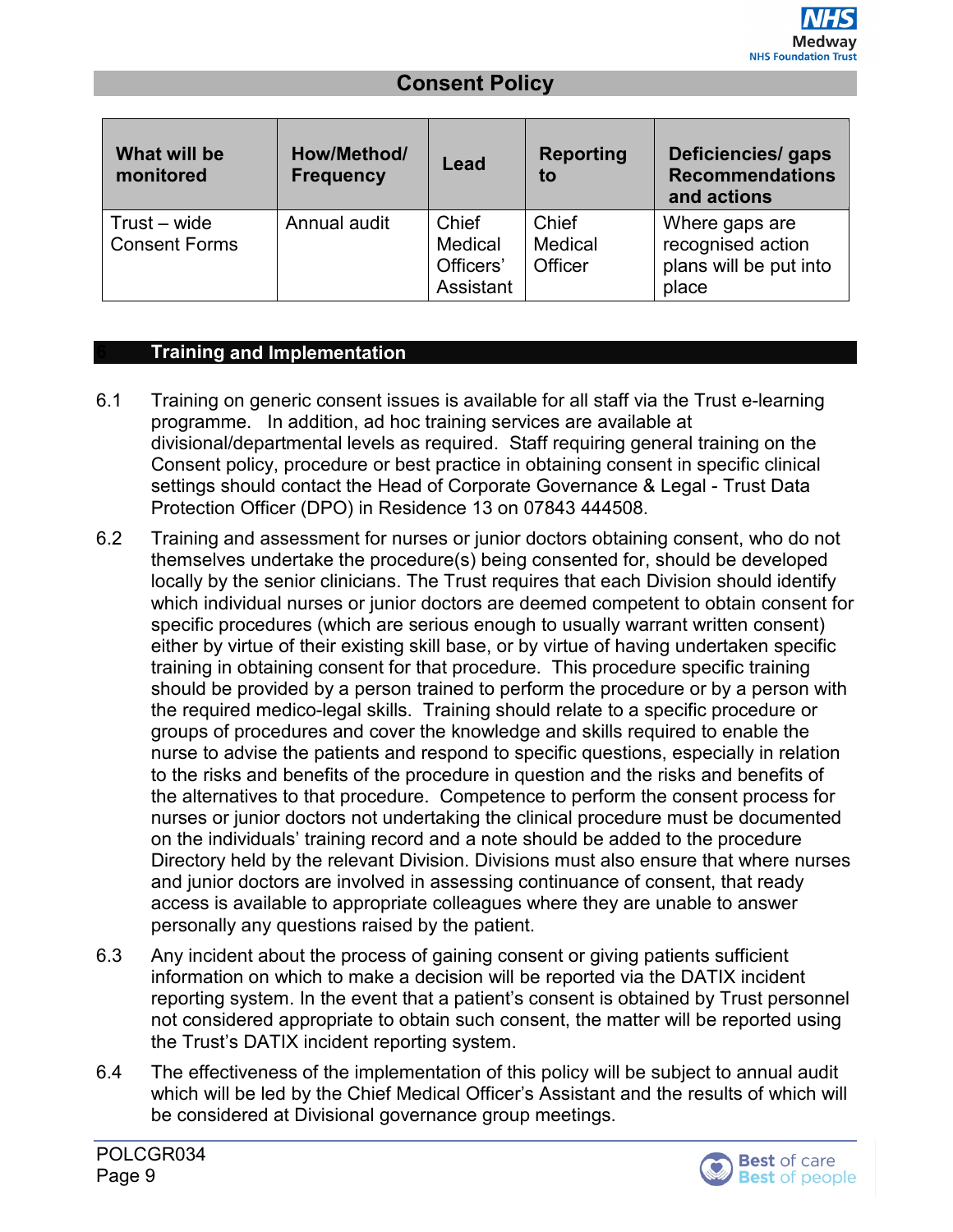| What will be<br>monitored              | How/Method/<br><b>Frequency</b> | Lead                                       | <b>Reporting</b><br>to      | Deficiencies/ gaps<br><b>Recommendations</b><br>and actions            |
|----------------------------------------|---------------------------------|--------------------------------------------|-----------------------------|------------------------------------------------------------------------|
| $Trust - wide$<br><b>Consent Forms</b> | Annual audit                    | Chief<br>Medical<br>Officers'<br>Assistant | Chief<br>Medical<br>Officer | Where gaps are<br>recognised action<br>plans will be put into<br>place |

#### <span id="page-8-0"></span>**6 Training and Implementation**

- 6.1 Training on generic consent issues is available for all staff via the Trust e-learning programme. In addition, ad hoc training services are available at divisional/departmental levels as required. Staff requiring general training on the Consent policy, procedure or best practice in obtaining consent in specific clinical settings should contact the Head of Corporate Governance & Legal - Trust Data Protection Officer (DPO) in Residence 13 on 07843 444508.
- 6.2 Training and assessment for nurses or junior doctors obtaining consent, who do not themselves undertake the procedure(s) being consented for, should be developed locally by the senior clinicians. The Trust requires that each Division should identify which individual nurses or junior doctors are deemed competent to obtain consent for specific procedures (which are serious enough to usually warrant written consent) either by virtue of their existing skill base, or by virtue of having undertaken specific training in obtaining consent for that procedure. This procedure specific training should be provided by a person trained to perform the procedure or by a person with the required medico-legal skills. Training should relate to a specific procedure or groups of procedures and cover the knowledge and skills required to enable the nurse to advise the patients and respond to specific questions, especially in relation to the risks and benefits of the procedure in question and the risks and benefits of the alternatives to that procedure. Competence to perform the consent process for nurses or junior doctors not undertaking the clinical procedure must be documented on the individuals' training record and a note should be added to the procedure Directory held by the relevant Division. Divisions must also ensure that where nurses and junior doctors are involved in assessing continuance of consent, that ready access is available to appropriate colleagues where they are unable to answer personally any questions raised by the patient.
- 6.3 Any incident about the process of gaining consent or giving patients sufficient information on which to make a decision will be reported via the DATIX incident reporting system. In the event that a patient's consent is obtained by Trust personnel not considered appropriate to obtain such consent, the matter will be reported using the Trust's DATIX incident reporting system.
- 6.4 The effectiveness of the implementation of this policy will be subject to annual audit which will be led by the Chief Medical Officer's Assistant and the results of which will be considered at Divisional governance group meetings.

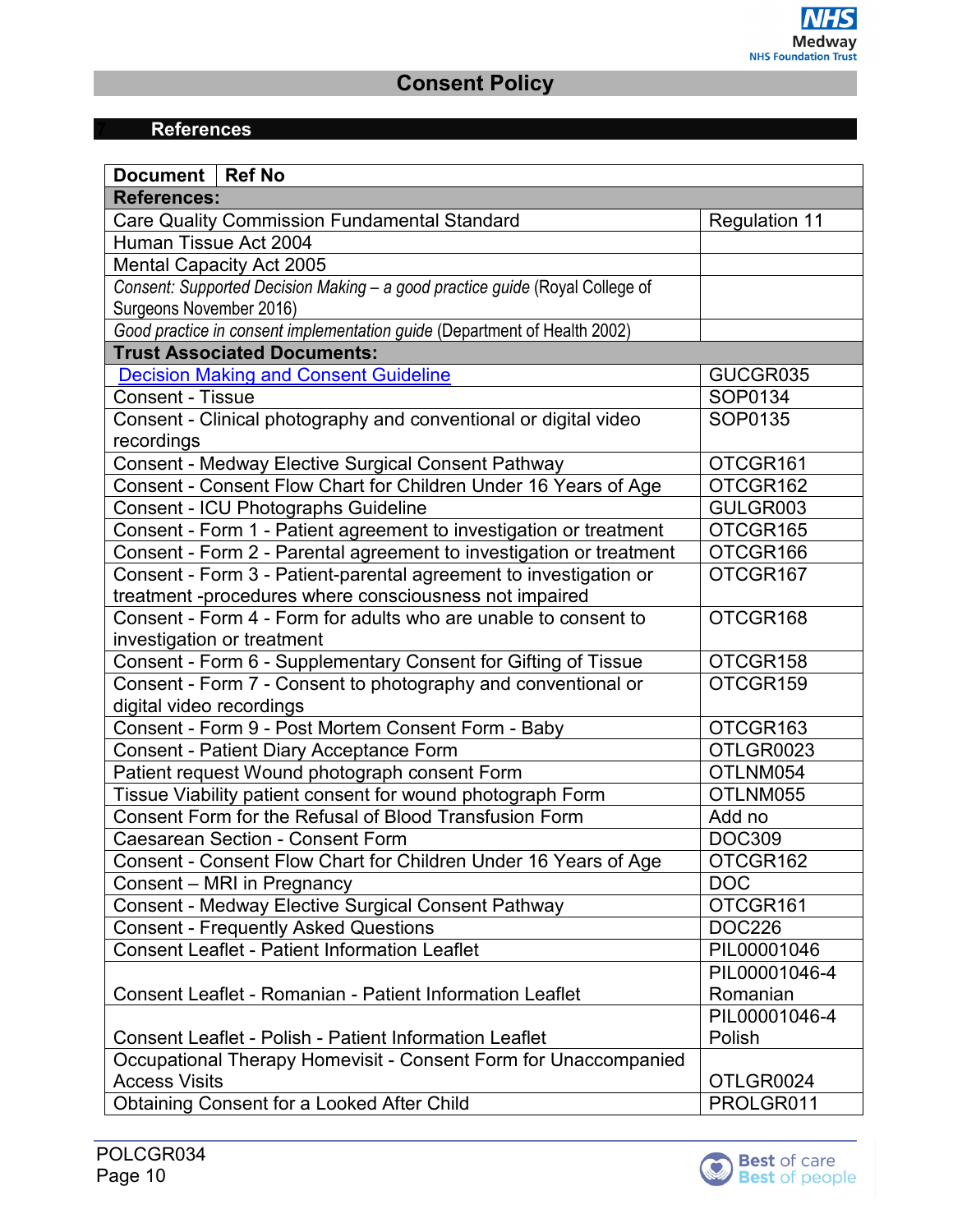# **7 References**

<span id="page-9-0"></span>

| Document   Ref No                                                            |                      |  |
|------------------------------------------------------------------------------|----------------------|--|
| <b>References:</b>                                                           |                      |  |
| <b>Care Quality Commission Fundamental Standard</b>                          | <b>Regulation 11</b> |  |
| Human Tissue Act 2004                                                        |                      |  |
| <b>Mental Capacity Act 2005</b>                                              |                      |  |
| Consent: Supported Decision Making - a good practice guide (Royal College of |                      |  |
| Surgeons November 2016)                                                      |                      |  |
| Good practice in consent implementation guide (Department of Health 2002)    |                      |  |
| <b>Trust Associated Documents:</b>                                           |                      |  |
| <b>Decision Making and Consent Guideline</b>                                 | GUCGR035             |  |
| <b>Consent - Tissue</b>                                                      | SOP0134              |  |
| Consent - Clinical photography and conventional or digital video             | SOP0135              |  |
| recordings                                                                   |                      |  |
| Consent - Medway Elective Surgical Consent Pathway                           | OTCGR161             |  |
| Consent - Consent Flow Chart for Children Under 16 Years of Age              | OTCGR162             |  |
| <b>Consent - ICU Photographs Guideline</b>                                   | GULGR003             |  |
| Consent - Form 1 - Patient agreement to investigation or treatment           | OTCGR165             |  |
| Consent - Form 2 - Parental agreement to investigation or treatment          | OTCGR166             |  |
| Consent - Form 3 - Patient-parental agreement to investigation or            | OTCGR167             |  |
| treatment -procedures where consciousness not impaired                       |                      |  |
| Consent - Form 4 - Form for adults who are unable to consent to              | OTCGR168             |  |
| investigation or treatment                                                   |                      |  |
| Consent - Form 6 - Supplementary Consent for Gifting of Tissue               | OTCGR158             |  |
| Consent - Form 7 - Consent to photography and conventional or                | OTCGR159             |  |
| digital video recordings                                                     |                      |  |
| Consent - Form 9 - Post Mortem Consent Form - Baby                           | OTCGR163             |  |
| <b>Consent - Patient Diary Acceptance Form</b>                               | OTLGR0023            |  |
| Patient request Wound photograph consent Form                                | OTLNM054             |  |
| Tissue Viability patient consent for wound photograph Form                   | OTLNM055             |  |
| Consent Form for the Refusal of Blood Transfusion Form                       | Add no               |  |
| <b>Caesarean Section - Consent Form</b>                                      | <b>DOC309</b>        |  |
| Consent - Consent Flow Chart for Children Under 16 Years of Age              | OTCGR162             |  |
| Consent – MRI in Pregnancy                                                   | <b>DOC</b>           |  |
| Consent - Medway Elective Surgical Consent Pathway                           | OTCGR161             |  |
| <b>Consent - Frequently Asked Questions</b>                                  | <b>DOC226</b>        |  |
| <b>Consent Leaflet - Patient Information Leaflet</b>                         | PIL00001046          |  |
|                                                                              | PIL00001046-4        |  |
| <b>Consent Leaflet - Romanian - Patient Information Leaflet</b>              | Romanian             |  |
|                                                                              | PIL00001046-4        |  |
| Consent Leaflet - Polish - Patient Information Leaflet                       | Polish               |  |
| Occupational Therapy Homevisit - Consent Form for Unaccompanied              |                      |  |
| <b>Access Visits</b>                                                         | OTLGR0024            |  |
| <b>Obtaining Consent for a Looked After Child</b>                            | PROLGR011            |  |